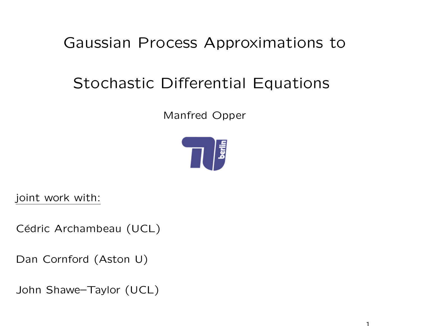# Gaussian Process Approximations to

# Stochastic Differential Equations

# Manfred Opper



joint work with:

Cédric Archambeau (UCL)

Dan Cornford (Aston U)

John Shawe–Taylor (UCL)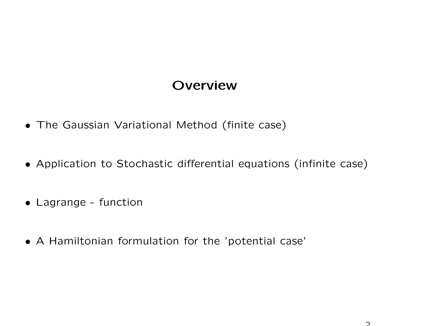# **Overview**

- The Gaussian Variational Method (finite case)
- Application to Stochastic differential equations (infinite case)
- Lagrange function
- A Hamiltonian formulation for the 'potential case'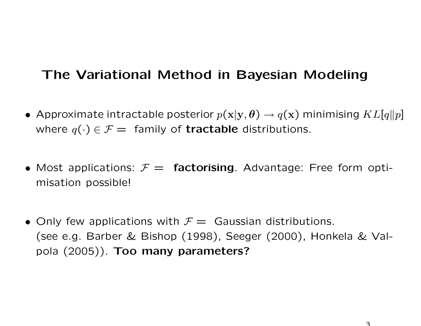# The Variational Method in Bayesian Modeling

- Approximate intractable posterior  $p(\mathbf{x}|\mathbf{y}, \boldsymbol{\theta}) \rightarrow q(\mathbf{x})$  minimising  $KL[q||p]$ where  $q(\cdot) \in \mathcal{F}$  = family of **tractable** distributions.
- Most applications:  $\mathcal{F} =$  factorising. Advantage: Free form optimisation possible!
- Only few applications with  $\mathcal{F} =$  Gaussian distributions. (see e.g. Barber & Bishop (1998), Seeger (2000), Honkela & Valpola (2005)). Too many parameters?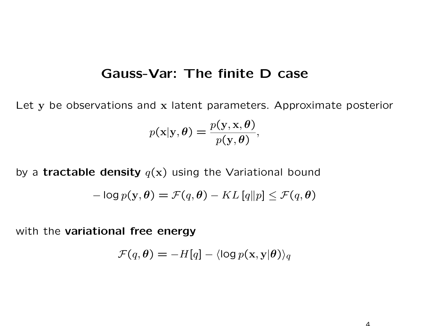### Gauss-Var: The finite D case

Let y be observations and x latent parameters. Approximate posterior

$$
p(\mathbf{x}|\mathbf{y}, \boldsymbol{\theta}) = \frac{p(\mathbf{y}, \mathbf{x}, \boldsymbol{\theta})}{p(\mathbf{y}, \boldsymbol{\theta})},
$$

by a **tractable density**  $q(x)$  using the Variational bound

$$
-\log p(\mathbf{y}, \boldsymbol{\theta}) = \mathcal{F}(q, \boldsymbol{\theta}) - KL\left[q||p\right] \leq \mathcal{F}(q, \boldsymbol{\theta})
$$

with the variational free energy

$$
\mathcal{F}(q,\boldsymbol{\theta})=-H[q]-\langle \log p(\mathbf{x},\mathbf{y}|\boldsymbol{\theta})\rangle_q
$$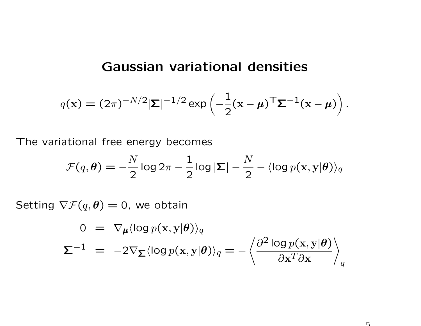# Gaussian variational densities

$$
q(\mathbf{x}) = (2\pi)^{-N/2} |\mathbf{\Sigma}|^{-1/2} \exp\left(-\frac{1}{2}(\mathbf{x} - \boldsymbol{\mu})^{\top} \mathbf{\Sigma}^{-1}(\mathbf{x} - \boldsymbol{\mu})\right).
$$

The variational free energy becomes

$$
\mathcal{F}(q,\theta) = -\frac{N}{2}\log 2\pi - \frac{1}{2}\log |\mathbf{\Sigma}| - \frac{N}{2} - \langle \log p(\mathbf{x}, \mathbf{y}|\theta) \rangle_q
$$

Setting  $\nabla \mathcal{F}(q, \theta) = 0$ , we obtain

$$
0 = \nabla_{\mu} \langle \log p(\mathbf{x}, \mathbf{y} | \boldsymbol{\theta}) \rangle_{q}
$$
  

$$
\Sigma^{-1} = -2 \nabla_{\Sigma} \langle \log p(\mathbf{x}, \mathbf{y} | \boldsymbol{\theta}) \rangle_{q} = -\left\langle \frac{\partial^{2} \log p(\mathbf{x}, \mathbf{y} | \boldsymbol{\theta})}{\partial \mathbf{x}^{T} \partial \mathbf{x}} \right\rangle_{q}
$$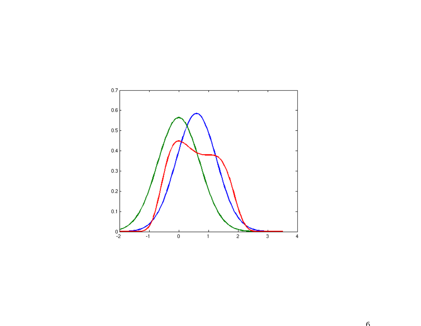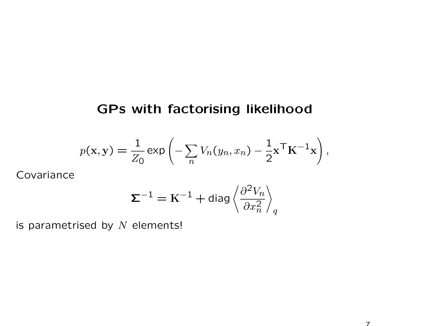# GPs with factorising likelihood

$$
p(\mathbf{x}, \mathbf{y}) = \frac{1}{Z_0} \exp\left(-\sum_n V_n(y_n, x_n) - \frac{1}{2}\mathbf{x}^\top \mathbf{K}^{-1}\mathbf{x}\right),
$$

Covariance

$$
\mathbf{\Sigma}^{-1} = \mathbf{K}^{-1} + \text{diag}\left\langle \frac{\partial^2 V_n}{\partial x_n^2} \right\rangle_q
$$

is parametrised by  $N$  elements!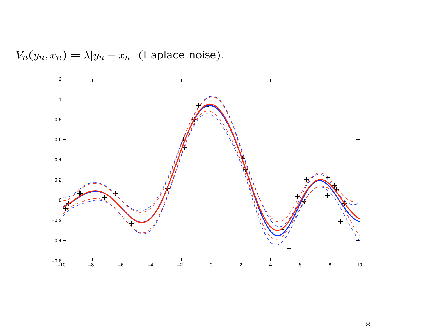$V_n(y_n, x_n) = \lambda |y_n - x_n|$  (Laplace noise).

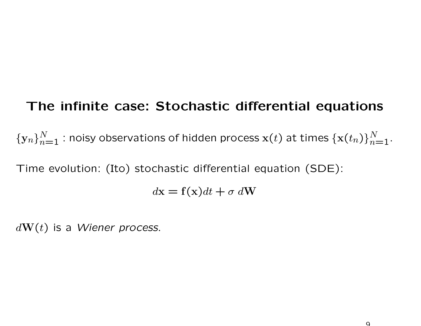# The infinite case: Stochastic differential equations

 $\{{\bf y}_n\}_{n=1}^N$  : noisy observations of hidden process  ${\bf x}(t)$  at times  $\{{\bf x}(t_n)\}_{n=1}^N.$ 

Time evolution: (Ito) stochastic differential equation (SDE):

 $dx = f(x)dt + \sigma dW$ 

 $dW(t)$  is a Wiener process.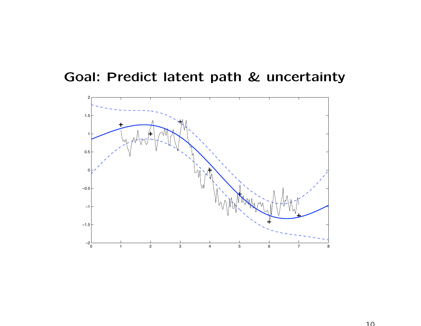

Goal: Predict latent path & uncertainty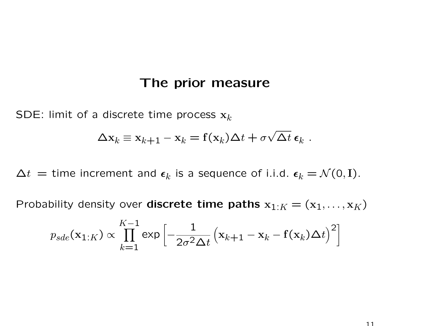#### The prior measure

SDE: limit of a discrete time process  $x_k$ 

$$
\Delta \mathbf{x}_k \equiv \mathbf{x}_{k+1} - \mathbf{x}_k = \mathbf{f}(\mathbf{x}_k) \Delta t + \sigma \sqrt{\Delta t} \, \boldsymbol{\epsilon}_k \, .
$$

 $\Delta t =$  time increment and  $\epsilon_k$  is a sequence of i.i.d.  $\epsilon_k = \mathcal{N}(0, I)$ .

Probability density over **discrete time paths**  $x_{1:K} = (x_1, \ldots, x_K)$ 

$$
p_{sde}(\mathbf{x}_{1:K}) \propto \prod_{k=1}^{K-1} \exp \left[-\frac{1}{2\sigma^2 \Delta t} \left(\mathbf{x}_{k+1} - \mathbf{x}_k - \mathbf{f}(\mathbf{x}_k) \Delta t\right)^2\right]
$$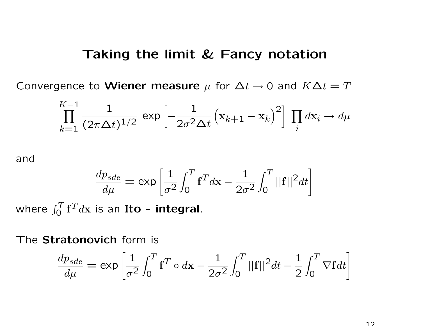#### Taking the limit & Fancy notation

Convergence to Wiener measure  $\mu$  for  $\Delta t \rightarrow 0$  and  $K\Delta t = T$ 

$$
\prod_{k=1}^{K-1} \frac{1}{(2\pi \Delta t)^{1/2}} \exp \left[ -\frac{1}{2\sigma^2 \Delta t} \left( \mathbf{x}_{k+1} - \mathbf{x}_k \right)^2 \right] \prod_i d\mathbf{x}_i \to d\mu
$$

and

$$
\frac{dp_{sde}}{d\mu} = \exp\left[\frac{1}{\sigma^2} \int_0^T \mathbf{f}^T d\mathbf{x} - \frac{1}{2\sigma^2} \int_0^T ||\mathbf{f}||^2 dt\right]
$$

where  $\int_0^T \mathbf{f}^T d\mathbf{x}$  is an Ito - integral.

The Stratonovich form is

$$
\frac{dp_{sde}}{d\mu} = \exp\left[\frac{1}{\sigma^2} \int_0^T \mathbf{f}^T \circ d\mathbf{x} - \frac{1}{2\sigma^2} \int_0^T ||\mathbf{f}||^2 dt - \frac{1}{2} \int_0^T \nabla \mathbf{f} dt\right]
$$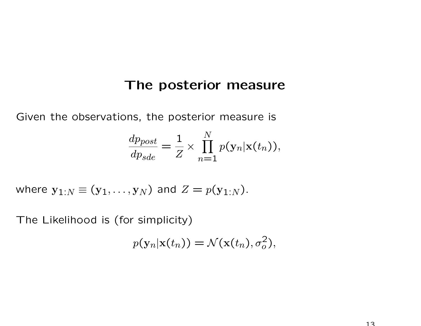### The posterior measure

Given the observations, the posterior measure is

$$
\frac{dp_{post}}{dp_{sde}} = \frac{1}{Z} \times \prod_{n=1}^{N} p(\mathbf{y}_n | \mathbf{x}(t_n)),
$$

where  $y_{1:N} \equiv (y_1, \ldots, y_N)$  and  $Z = p(y_{1:N})$ .

The Likelihood is (for simplicity)

$$
p(\mathbf{y}_n|\mathbf{x}(t_n)) = \mathcal{N}(\mathbf{x}(t_n), \sigma_o^2),
$$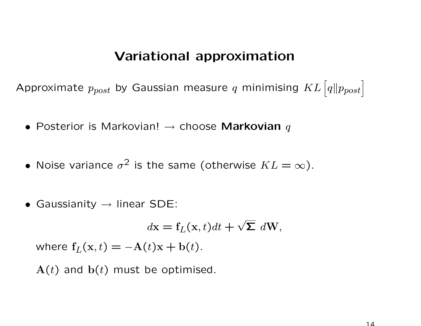# Variational approximation

Approximate  $p_{post}$  by Gaussian measure q minimising  $KL\left[q\|p_{post}\right]$ 

- Posterior is Markovian!  $\rightarrow$  choose Markovian q
- Noise variance  $\sigma^2$  is the same (otherwise  $KL = \infty$ ).
- Gaussianity  $\rightarrow$  linear SDE:

$$
d\mathbf{x} = \mathbf{f}_L(\mathbf{x}, t)dt + \sqrt{\Sigma} d\mathbf{W},
$$

where  $f_L(\mathbf{x}, t) = -\mathbf{A}(t)\mathbf{x} + \mathbf{b}(t)$ .

 $A(t)$  and  $b(t)$  must be optimised.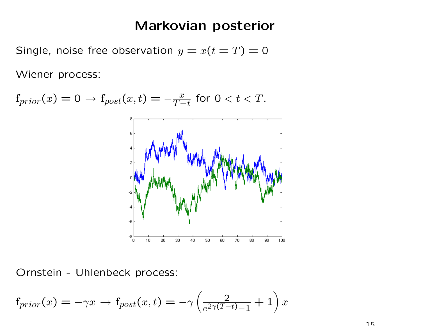#### Markovian posterior

Single, noise free observation  $y = x(t = T) = 0$ 

Wiener process:

$$
f_{prior}(x) = 0 \rightarrow f_{post}(x, t) = -\frac{x}{T-t} \text{ for } 0 < t < T.
$$

#### Ornstein - Uhlenbeck process:

$$
\mathbf{f}_{prior}(x) = -\gamma x \to \mathbf{f}_{post}(x, t) = -\gamma \left(\frac{2}{e^{2\gamma(T-t)} - 1} + 1\right)x
$$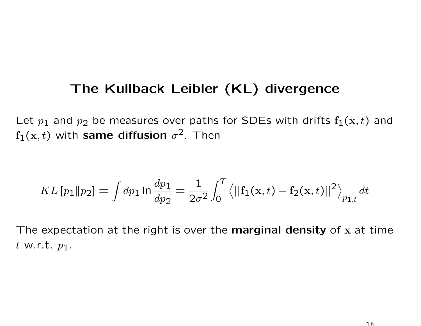# The Kullback Leibler (KL) divergence

Let  $p_1$  and  $p_2$  be measures over paths for SDEs with drifts  $f_1(x, t)$  and  $\mathrm{f}_{1}(\mathrm{x},t)$  with same diffusion  $\sigma^{2}.$  Then

$$
KL\left[p_1\|p_2\right] = \int dp_1 \ln \frac{dp_1}{dp_2} = \frac{1}{2\sigma^2} \int_0^T \left\langle ||\mathbf{f}_1(\mathbf{x}, t) - \mathbf{f}_2(\mathbf{x}, t)||^2 \right\rangle_{p_{1,t}} dt
$$

The expectation at the right is over the marginal density of x at time  $t$  w.r.t.  $p_1$ .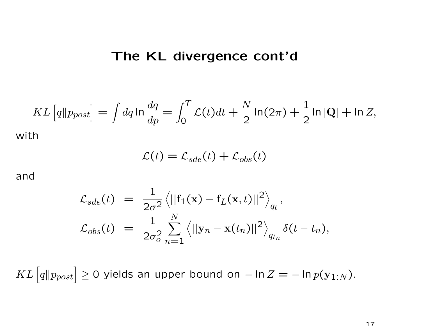# The KL divergence cont'd

$$
KL\left[q||p_{post}\right] = \int dq \ln \frac{dq}{dp} = \int_0^T \mathcal{L}(t)dt + \frac{N}{2} \ln(2\pi) + \frac{1}{2} \ln|Q| + \ln Z,
$$
  
with

$$
\mathcal{L}(t) = \mathcal{L}_{sde}(t) + \mathcal{L}_{obs}(t)
$$

and

$$
\mathcal{L}_{sde}(t) = \frac{1}{2\sigma^2} \left\langle ||\mathbf{f}_1(\mathbf{x}) - \mathbf{f}_L(\mathbf{x}, t)||^2 \right\rangle_{q_t},
$$
  

$$
\mathcal{L}_{obs}(t) = \frac{1}{2\sigma_o^2} \sum_{n=1}^N \left\langle ||\mathbf{y}_n - \mathbf{x}(t_n)||^2 \right\rangle_{q_{t_n}} \delta(t - t_n),
$$

 $KL\left[q\|p_{post}\right]\geq$  0 yields an upper bound on  $-$  ln  $Z=-$  ln  $p(\mathbf{y}_{1:N}).$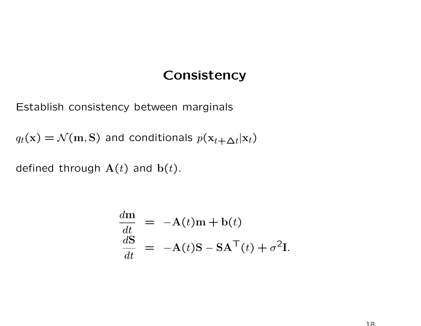# Consistency

Establish consistency between marginals

 $q_t(\mathbf{x}) = \mathcal{N}(\mathbf{m}, \mathbf{S})$  and conditionals  $p(\mathbf{x}_{t+\Delta t}|\mathbf{x}_t)$ 

defined through  $A(t)$  and  $b(t)$ .

$$
\frac{d\mathbf{m}}{dt} = -\mathbf{A}(t)\mathbf{m} + \mathbf{b}(t)
$$
\n
$$
\frac{d\mathbf{S}}{dt} = -\mathbf{A}(t)\mathbf{S} - \mathbf{S}\mathbf{A}^{\mathsf{T}}(t) + \sigma^2 \mathbf{I}.
$$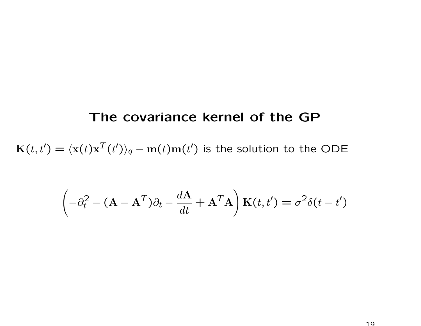# The covariance kernel of the GP

 $\mathbf{K}(t,t')=\langle \mathbf{x}(t)\mathbf{x}^T(t')\rangle_q-\mathbf{m}(t)\mathbf{m}(t')$  is the solution to the ODE

$$
\left(-\partial_t^2 - (\mathbf{A} - \mathbf{A}^T)\partial_t - \frac{d\mathbf{A}}{dt} + \mathbf{A}^T\mathbf{A}\right)\mathbf{K}(t, t') = \sigma^2\delta(t - t')
$$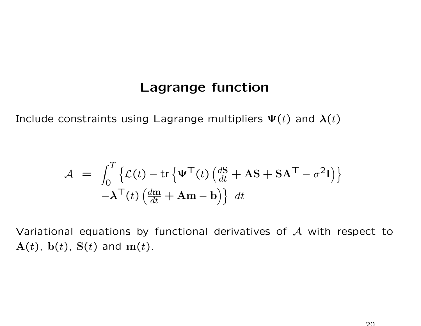### Lagrange function

Include constraints using Lagrange multipliers  $\Psi(t)$  and  $\lambda(t)$ 

$$
\mathcal{A} = \int_0^T \left\{ \mathcal{L}(t) - \text{tr}\left\{ \Psi^\top(t) \left( \frac{dS}{dt} + AS + SA^\top - \sigma^2 I \right) \right\} \right. \\ \left. - \lambda^\top(t) \left( \frac{d\mathbf{m}}{dt} + \mathbf{Am} - \mathbf{b} \right) \right\} dt
$$

Variational equations by functional derivatives of  $A$  with respect to  $A(t)$ ,  $b(t)$ ,  $S(t)$  and  $m(t)$ .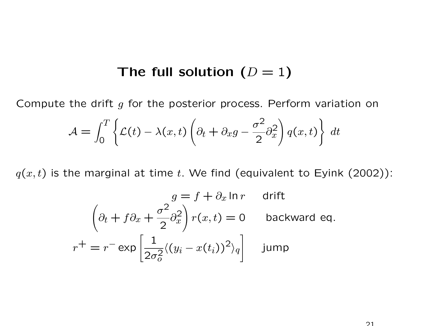# The full solution  $(D = 1)$

Compute the drift  $g$  for the posterior process. Perform variation on

$$
\mathcal{A} = \int_0^T \left\{ \mathcal{L}(t) - \lambda(x, t) \left( \partial_t + \partial_x g - \frac{\sigma^2}{2} \partial_x^2 \right) q(x, t) \right\} dt
$$

 $q(x, t)$  is the marginal at time t. We find (equivalent to Eyink (2002)):

$$
g = f + \partial_x \ln r \quad \text{drift}
$$
\n
$$
\left(\partial_t + f\partial_x + \frac{\sigma^2}{2}\partial_x^2\right) r(x, t) = 0 \quad \text{backward eq.}
$$
\n
$$
r^+ = r^- \exp\left[\frac{1}{2\sigma_o^2} \langle (y_i - x(t_i))^2 \rangle_q\right] \quad \text{jump}
$$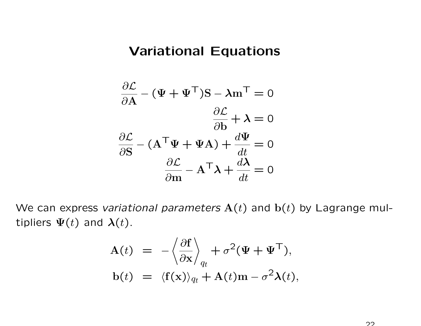### Variational Equations

$$
\frac{\partial \mathcal{L}}{\partial \mathbf{A}} - (\Psi + \Psi^{\top}) \mathbf{S} - \lambda \mathbf{m}^{\top} = 0
$$

$$
\frac{\partial \mathcal{L}}{\partial \mathbf{b}} + \lambda = 0
$$

$$
\frac{\partial \mathcal{L}}{\partial \mathbf{S}} - (\mathbf{A}^{\top} \Psi + \Psi \mathbf{A}) + \frac{d\Psi}{dt} = 0
$$

$$
\frac{\partial \mathcal{L}}{\partial \mathbf{m}} - \mathbf{A}^{\top} \lambda + \frac{d\lambda}{dt} = 0
$$

We can express variational parameters  $A(t)$  and  $b(t)$  by Lagrange multipliers  $\Psi(t)$  and  $\lambda(t)$ .

$$
A(t) = -\left\langle \frac{\partial f}{\partial x} \right\rangle_{q_t} + \sigma^2 (\Psi + \Psi^{\top}),
$$
  
\n
$$
b(t) = \langle f(x) \rangle_{q_t} + A(t)m - \sigma^2 \lambda(t),
$$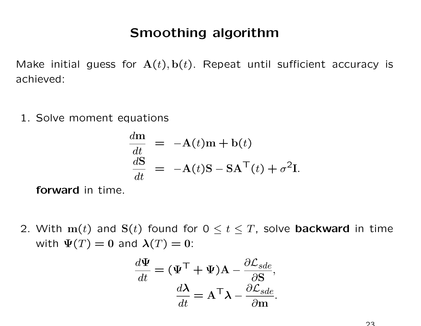# Smoothing algorithm

Make initial guess for  $A(t), b(t)$ . Repeat until sufficient accuracy is achieved:

1. Solve moment equations

$$
\frac{d\mathbf{m}}{dt} = -\mathbf{A}(t)\mathbf{m} + \mathbf{b}(t)
$$
\n
$$
\frac{d\mathbf{S}}{dt} = -\mathbf{A}(t)\mathbf{S} - \mathbf{S}\mathbf{A}^{\mathsf{T}}(t) + \sigma^2 \mathbf{I}.
$$

forward in time.

2. With  $m(t)$  and  $S(t)$  found for  $0 \le t \le T$ , solve **backward** in time with  $\Psi(T) = 0$  and  $\lambda(T) = 0$ :

$$
\frac{d\Psi}{dt} = (\Psi^{\top} + \Psi)\mathbf{A} - \frac{\partial \mathcal{L}_{sde}}{\partial \mathbf{S}},
$$

$$
\frac{d\lambda}{dt} = \mathbf{A}^{\top}\lambda - \frac{\partial \mathcal{L}_{sde}}{\partial \mathbf{m}}.
$$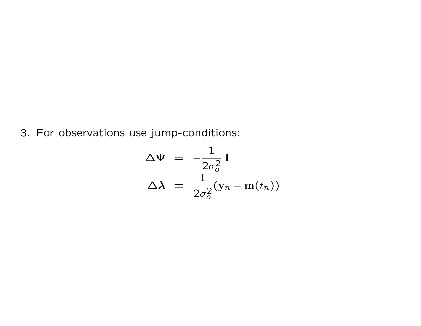3. For observations use jump-conditions:

$$
\Delta \Psi = -\frac{1}{2\sigma_o^2} \mathbf{I}
$$
  
\n
$$
\Delta \lambda = \frac{1}{2\sigma_o^2} (\mathbf{y}_n - \mathbf{m}(t_n))
$$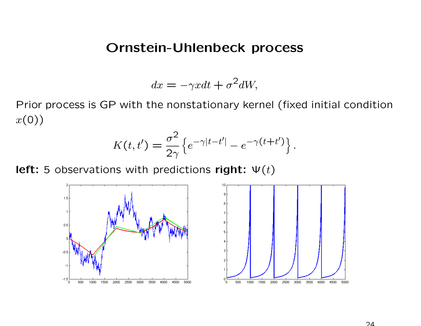#### Ornstein-Uhlenbeck process

$$
dx = -\gamma x dt + \sigma^2 dW,
$$

Prior process is GP with the nonstationary kernel (fixed initial condition  $x(0)$ 

$$
K(t,t') = \frac{\sigma^2}{2\gamma} \left\{ e^{-\gamma|t-t'|} - e^{-\gamma(t+t')} \right\}.
$$

left: 5 observations with predictions right:  $\Psi(t)$ 



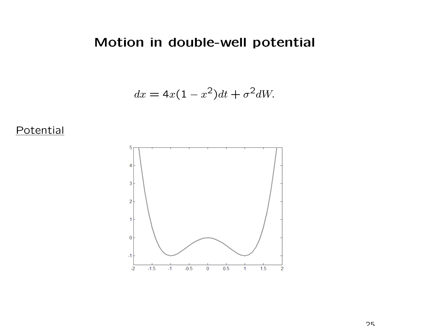# Motion in double-well potential

$$
dx = 4x(1 - x^2)dt + \sigma^2 dW.
$$



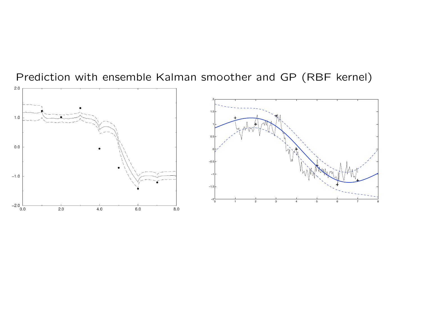

Prediction with ensemble Kalman smoother and GP (RBF kernel)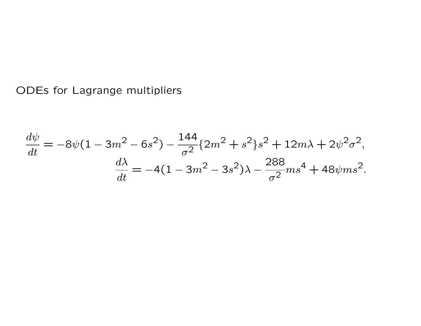ODEs for Lagrange multipliers

$$
\frac{d\psi}{dt} = -8\psi(1 - 3m^2 - 6s^2) - \frac{144}{\sigma^2} \{2m^2 + s^2\}s^2 + 12m\lambda + 2\psi^2\sigma^2,
$$
  

$$
\frac{d\lambda}{dt} = -4(1 - 3m^2 - 3s^2)\lambda - \frac{288}{\sigma^2}ms^4 + 48\psi ms^2.
$$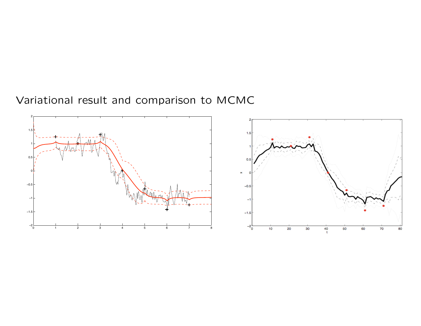### Variational result and comparison to MCMC

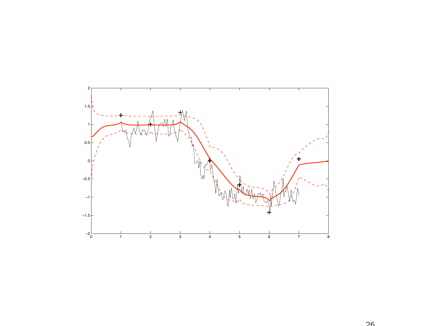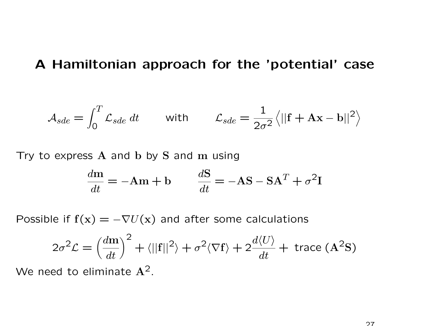### A Hamiltonian approach for the 'potential' case

$$
\mathcal{A}_{sde} = \int_0^T \mathcal{L}_{sde} dt \quad \text{with} \quad \mathcal{L}_{sde} = \frac{1}{2\sigma^2} \left\langle ||\mathbf{f} + \mathbf{A}\mathbf{x} - \mathbf{b}||^2 \right\rangle
$$

Try to express  $A$  and  $b$  by  $S$  and  $m$  using

$$
\frac{d\mathbf{m}}{dt} = -\mathbf{A}\mathbf{m} + \mathbf{b} \qquad \frac{d\mathbf{S}}{dt} = -\mathbf{A}\mathbf{S} - \mathbf{S}\mathbf{A}^T + \sigma^2 \mathbf{I}
$$

Possible if  $f(x) = -\nabla U(x)$  and after some calculations

$$
2\sigma^2 \mathcal{L} = \left(\frac{d\mathbf{m}}{dt}\right)^2 + \langle ||\mathbf{f}||^2 \rangle + \sigma^2 \langle \nabla \mathbf{f} \rangle + 2\frac{d\langle U \rangle}{dt} + \text{trace (A2S)}
$$

We need to eliminate  $A^2$ .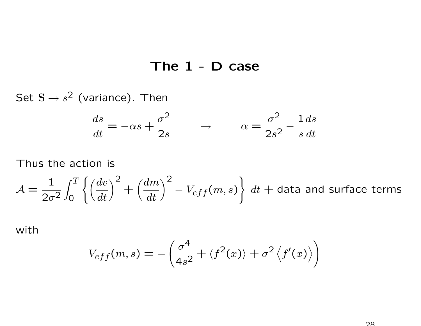# The 1 - D case

Set  $S \rightarrow s^2$  (variance). Then

$$
\frac{ds}{dt} = -\alpha s + \frac{\sigma^2}{2s} \qquad \rightarrow \qquad \alpha = \frac{\sigma^2}{2s^2} - \frac{1}{s}\frac{ds}{dt}
$$

Thus the action is

$$
\mathcal{A} = \frac{1}{2\sigma^2} \int_0^T \left\{ \left( \frac{dv}{dt} \right)^2 + \left( \frac{dm}{dt} \right)^2 - V_{eff}(m, s) \right\} dt + \text{data and surface terms}
$$

with

$$
V_{eff}(m,s) = -\left(\frac{\sigma^4}{4s^2} + \langle f^2(x) \rangle + \sigma^2 \left\langle f'(x) \right\rangle \right)
$$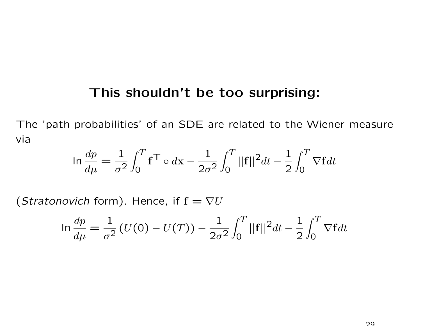#### This shouldn't be too surprising:

The 'path probabilities' of an SDE are related to the Wiener measure via

$$
\ln \frac{dp}{d\mu} = \frac{1}{\sigma^2} \int_0^T \mathbf{f} \cdot d\mathbf{x} - \frac{1}{2\sigma^2} \int_0^T ||\mathbf{f}||^2 dt - \frac{1}{2} \int_0^T \nabla \mathbf{f} dt
$$

(Stratonovich form). Hence, if  $f = \nabla U$ 

$$
\ln \frac{dp}{d\mu} = \frac{1}{\sigma^2} (U(0) - U(T)) - \frac{1}{2\sigma^2} \int_0^T ||\mathbf{f}||^2 dt - \frac{1}{2} \int_0^T \nabla \mathbf{f} dt
$$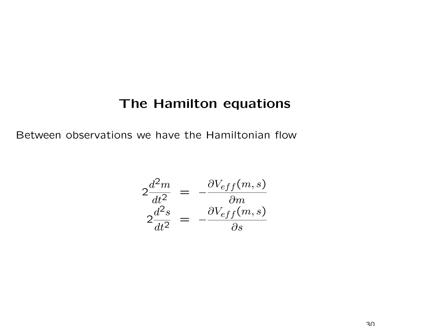# The Hamilton equations

Between observations we have the Hamiltonian flow

$$
2\frac{d^2m}{dt^2} = -\frac{\partial V_{eff}(m,s)}{\partial m}
$$

$$
2\frac{d^2s}{dt^2} = -\frac{\partial V_{eff}(m,s)}{\partial s}
$$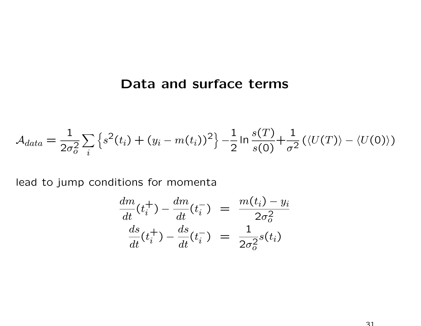# Data and surface terms

$$
\mathcal{A}_{data} = \frac{1}{2\sigma_o^2} \sum_i \left\{ s^2(t_i) + (y_i - m(t_i))^2 \right\} - \frac{1}{2} \ln \frac{s(T)}{s(0)} + \frac{1}{\sigma^2} \left( \langle U(T) \rangle - \langle U(0) \rangle \right)
$$

lead to jump conditions for momenta

$$
\frac{dm}{dt}(t_i^+) - \frac{dm}{dt}(t_i^-) = \frac{m(t_i) - y_i}{2\sigma_o^2}
$$

$$
\frac{ds}{dt}(t_i^+) - \frac{ds}{dt}(t_i^-) = \frac{1}{2\sigma_o^2}s(t_i)
$$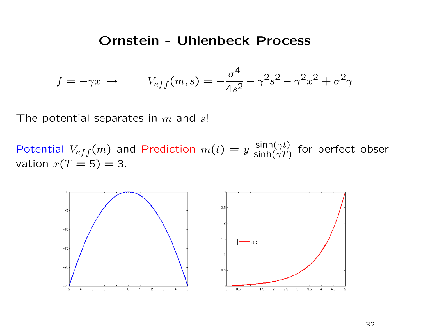### Ornstein - Uhlenbeck Process

$$
f = -\gamma x \rightarrow V_{eff}(m, s) = -\frac{\sigma^4}{4s^2} - \gamma^2 s^2 - \gamma^2 x^2 + \sigma^2 \gamma
$$

The potential separates in  $m$  and  $s!$ 

Potential  $V_{eff}(m)$  and Prediction  $m(t) = y \frac{\sinh(\gamma t)}{\sinh(\gamma T)}$  $\overline{\mathsf{sinh}(\gamma T)}$ for perfect observation  $x(T = 5) = 3$ .

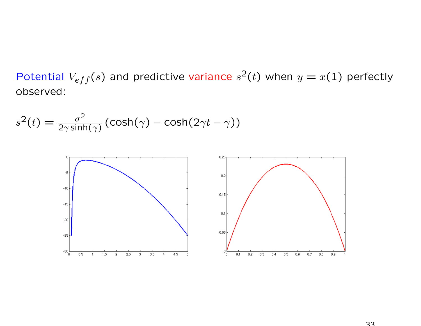Potential  $V_{eff}(s)$  and predictive variance  $s^2(t)$  when  $y=x(1)$  perfectly observed:

$$
s^{2}(t) = \frac{\sigma^{2}}{2\gamma \sinh(\gamma)} (\cosh(\gamma) - \cosh(2\gamma t - \gamma))
$$

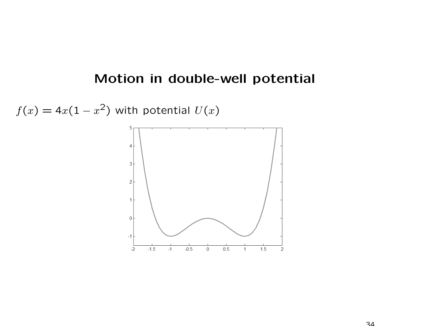# Motion in double-well potential

 $f(x) = 4x(1 - x^2)$  with potential  $U(x)$ 

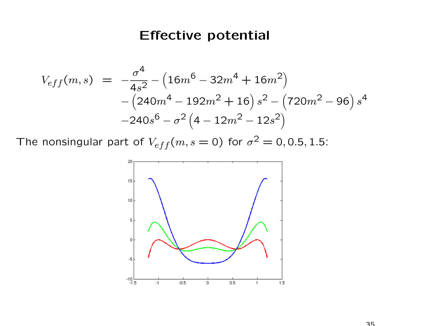# Effective potential

$$
V_{eff}(m,s) = -\frac{\sigma^4}{4s^2} - (16m^6 - 32m^4 + 16m^2) - (240m^4 - 192m^2 + 16) s^2 - (720m^2 - 96) s^4 - 240s^6 - \sigma^2 (4 - 12m^2 - 12s^2)
$$

The nonsingular part of  $V_{eff}(m,s=0)$  for  $\sigma^2=0,0.5,1.5$ :

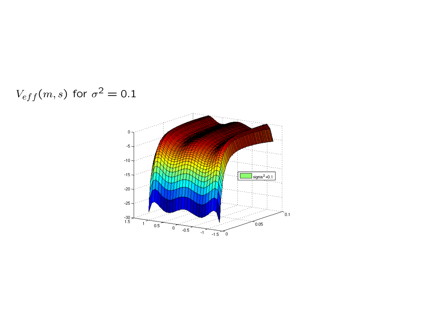$V_{eff}(m,s)$  for  $\sigma^2=0.1$ 

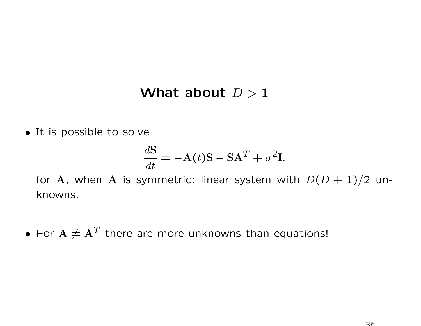### What about  $D > 1$

• It is possible to solve

$$
\frac{d\mathbf{S}}{dt} = -\mathbf{A}(t)\mathbf{S} - \mathbf{S}\mathbf{A}^T + \sigma^2 \mathbf{I}.
$$

for A, when A is symmetric: linear system with  $D(D + 1)/2$  unknowns.

• For  $A \neq A^T$  there are more unknowns than equations!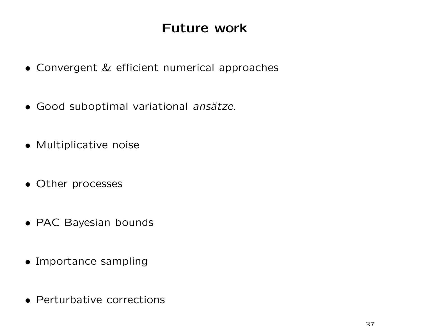# Future work

- Convergent & efficient numerical approaches
- Good suboptimal variational ansätze.
- Multiplicative noise
- Other processes
- PAC Bayesian bounds
- Importance sampling
- Perturbative corrections